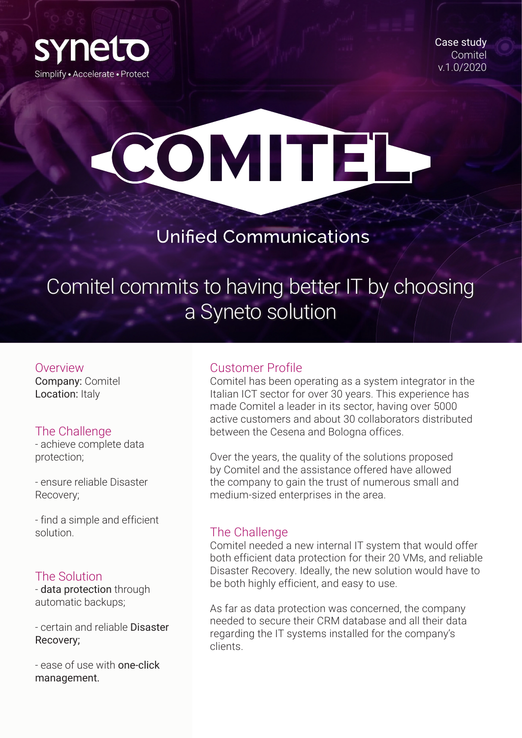

Case study **Comitel** v.1.0/2020

# COMITEL

### **Unified Communications**

## Comitel commits to having better IT by choosing a Syneto solution

Overview Company: Comitel

Location: Italy

#### The Challenge

- achieve complete data protection;

- ensure reliable Disaster Recovery;

- find a simple and efficient solution.

#### The Solution

- data protection through automatic backups;

- certain and reliable Disaster Recovery;

- ease of use with one-click management.

#### Customer Profile

Comitel has been operating as a system integrator in the Italian ICT sector for over 30 years. This experience has made Comitel a leader in its sector, having over 5000 active customers and about 30 collaborators distributed between the Cesena and Bologna offices.

Over the years, the quality of the solutions proposed by Comitel and the assistance offered have allowed the company to gain the trust of numerous small and medium-sized enterprises in the area.

#### The Challenge

Comitel needed a new internal IT system that would offer both efficient data protection for their 20 VMs, and reliable Disaster Recovery. Ideally, the new solution would have to be both highly efficient, and easy to use.

As far as data protection was concerned, the company needed to secure their CRM database and all their data regarding the IT systems installed for the company's clients.